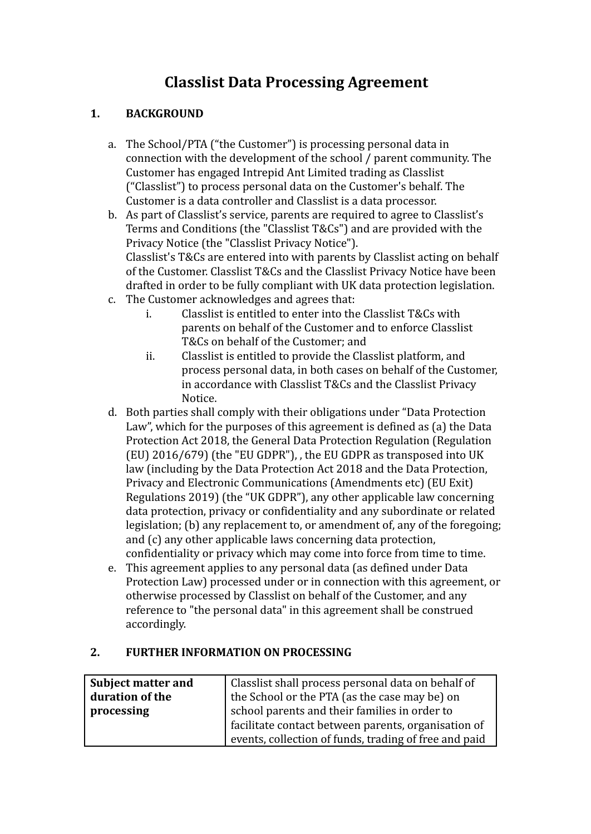# **Classlist Data Processing Agreement**

# **1. BACKGROUND**

- a. The School/PTA ("the Customer") is processing personal data in connection with the development of the school / parent community. The Customer has engaged Intrepid Ant Limited trading as Classlist ("Classlist") to process personal data on the Customer's behalf. The Customer is a data controller and Classlist is a data processor.
- b. As part of Classlist's service, parents are required to agree to Classlist's Terms and Conditions (the "Classlist T&Cs") and are provided with the Privacy Notice (the "Classlist Privacy Notice"). Classlist's T&Cs are entered into with parents by Classlist acting on behalf of the Customer. Classlist T&Cs and the Classlist Privacy Notice have been drafted in order to be fully compliant with UK data protection legislation.
- c. The Customer acknowledges and agrees that:
	- i. Classlist is entitled to enter into the Classlist T&Cs with parents on behalf of the Customer and to enforce Classlist T&Cs on behalf of the Customer; and
	- ii. Classlist is entitled to provide the Classlist platform, and process personal data, in both cases on behalf of the Customer, in accordance with Classlist T&Cs and the Classlist Privacy Notice.
- d. Both parties shall comply with their obligations under "Data Protection Law", which for the purposes of this agreement is defined as (a) the Data Protection Act 2018, the General Data Protection Regulation (Regulation (EU) 2016/679) (the "EU GDPR"), , the EU GDPR as transposed into UK law (including by the Data Protection Act 2018 and the Data Protection, Privacy and Electronic Communications (Amendments etc) (EU Exit) Regulations 2019) (the "UK GDPR"), any other applicable law concerning data protection, privacy or confidentiality and any subordinate or related legislation; (b) any replacement to, or amendment of, any of the foregoing; and (c) any other applicable laws concerning data protection, confidentiality or privacy which may come into force from time to time.
- e. This agreement applies to any personal data (as defined under Data Protection Law) processed under or in connection with this agreement, or otherwise processed by Classlist on behalf of the Customer, and any reference to "the personal data" in this agreement shall be construed accordingly.

# **2. FURTHER INFORMATION ON PROCESSING**

| <b>Subject matter and</b> | Classlist shall process personal data on behalf of    |
|---------------------------|-------------------------------------------------------|
| duration of the           | the School or the PTA (as the case may be) on         |
| processing                | school parents and their families in order to         |
|                           | facilitate contact between parents, organisation of   |
|                           | events, collection of funds, trading of free and paid |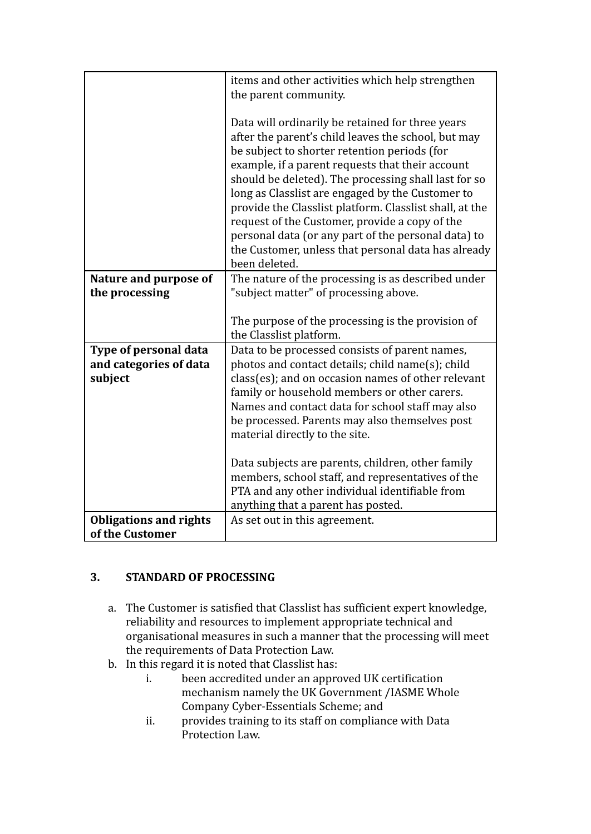|                                                            | items and other activities which help strengthen<br>the parent community.                                                                                                                                                                                                                                                                                                                                                                                                                                                                                           |
|------------------------------------------------------------|---------------------------------------------------------------------------------------------------------------------------------------------------------------------------------------------------------------------------------------------------------------------------------------------------------------------------------------------------------------------------------------------------------------------------------------------------------------------------------------------------------------------------------------------------------------------|
|                                                            | Data will ordinarily be retained for three years<br>after the parent's child leaves the school, but may<br>be subject to shorter retention periods (for<br>example, if a parent requests that their account<br>should be deleted). The processing shall last for so<br>long as Classlist are engaged by the Customer to<br>provide the Classlist platform. Classlist shall, at the<br>request of the Customer, provide a copy of the<br>personal data (or any part of the personal data) to<br>the Customer, unless that personal data has already<br>been deleted. |
| Nature and purpose of                                      | The nature of the processing is as described under                                                                                                                                                                                                                                                                                                                                                                                                                                                                                                                  |
| the processing                                             | "subject matter" of processing above.                                                                                                                                                                                                                                                                                                                                                                                                                                                                                                                               |
|                                                            | The purpose of the processing is the provision of<br>the Classlist platform.                                                                                                                                                                                                                                                                                                                                                                                                                                                                                        |
| Type of personal data<br>and categories of data<br>subject | Data to be processed consists of parent names,<br>photos and contact details; child name(s); child<br>class(es); and on occasion names of other relevant<br>family or household members or other carers.<br>Names and contact data for school staff may also<br>be processed. Parents may also themselves post<br>material directly to the site.                                                                                                                                                                                                                    |
|                                                            | Data subjects are parents, children, other family<br>members, school staff, and representatives of the<br>PTA and any other individual identifiable from<br>anything that a parent has posted.                                                                                                                                                                                                                                                                                                                                                                      |
| <b>Obligations and rights</b>                              | As set out in this agreement.                                                                                                                                                                                                                                                                                                                                                                                                                                                                                                                                       |
| of the Customer                                            |                                                                                                                                                                                                                                                                                                                                                                                                                                                                                                                                                                     |

# **3. STANDARD OF PROCESSING**

- a. The Customer is satisfied that Classlist has sufficient expert knowledge, reliability and resources to implement appropriate technical and organisational measures in such a manner that the processing will meet the requirements of Data Protection Law.
- b. In this regard it is noted that Classlist has:
	- i. been accredited under an approved UK certification mechanism namely the UK Government /IASME Whole Company Cyber-Essentials Scheme; and
	- ii. provides training to its staff on compliance with Data Protection Law.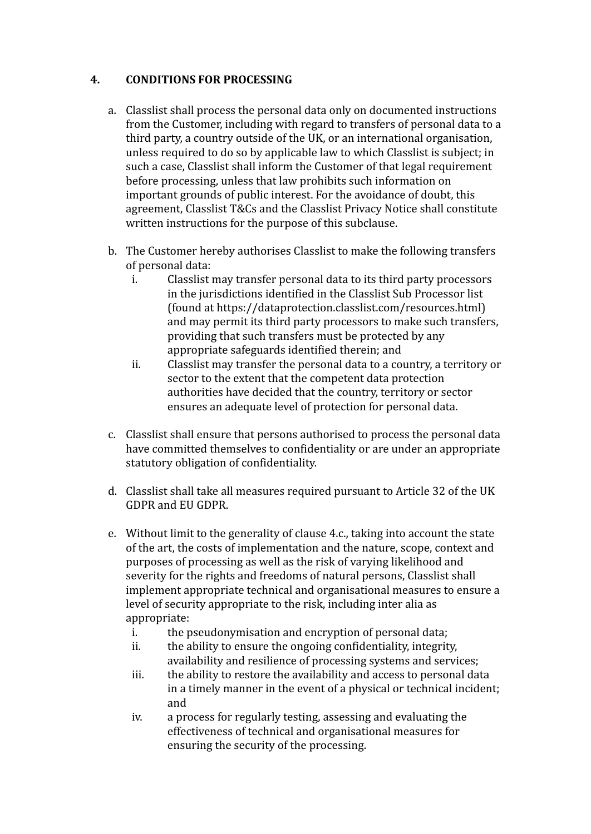#### **4. CONDITIONS FOR PROCESSING**

- a. Classlist shall process the personal data only on documented instructions from the Customer, including with regard to transfers of personal data to a third party, a country outside of the UK, or an international organisation, unless required to do so by applicable law to which Classlist is subject; in such a case, Classlist shall inform the Customer of that legal requirement before processing, unless that law prohibits such information on important grounds of public interest. For the avoidance of doubt, this agreement, Classlist T&Cs and the Classlist Privacy Notice shall constitute written instructions for the purpose of this subclause.
- b. The Customer hereby authorises Classlist to make the following transfers of personal data:
	- i. Classlist may transfer personal data to its third party processors in the jurisdictions identified in the Classlist Sub Processor list (found at https://dataprotection.classlist.com/resources.html) and may permit its third party processors to make such transfers, providing that such transfers must be protected by any appropriate safeguards identified therein; and
	- ii. Classlist may transfer the personal data to a country, a territory or sector to the extent that the competent data protection authorities have decided that the country, territory or sector ensures an adequate level of protection for personal data.
- c. Classlist shall ensure that persons authorised to process the personal data have committed themselves to confidentiality or are under an appropriate statutory obligation of confidentiality.
- d. Classlist shall take all measures required pursuant to Article 32 of the UK GDPR and EU GDPR.
- e. Without limit to the generality of clause 4.c., taking into account the state of the art, the costs of implementation and the nature, scope, context and purposes of processing as well as the risk of varying likelihood and severity for the rights and freedoms of natural persons, Classlist shall implement appropriate technical and organisational measures to ensure a level of security appropriate to the risk, including inter alia as appropriate:
	- i. the pseudonymisation and encryption of personal data;
	- ii. the ability to ensure the ongoing confidentiality, integrity, availability and resilience of processing systems and services;
	- iii. the ability to restore the availability and access to personal data in a timely manner in the event of a physical or technical incident; and
	- iv. a process for regularly testing, assessing and evaluating the effectiveness of technical and organisational measures for ensuring the security of the processing.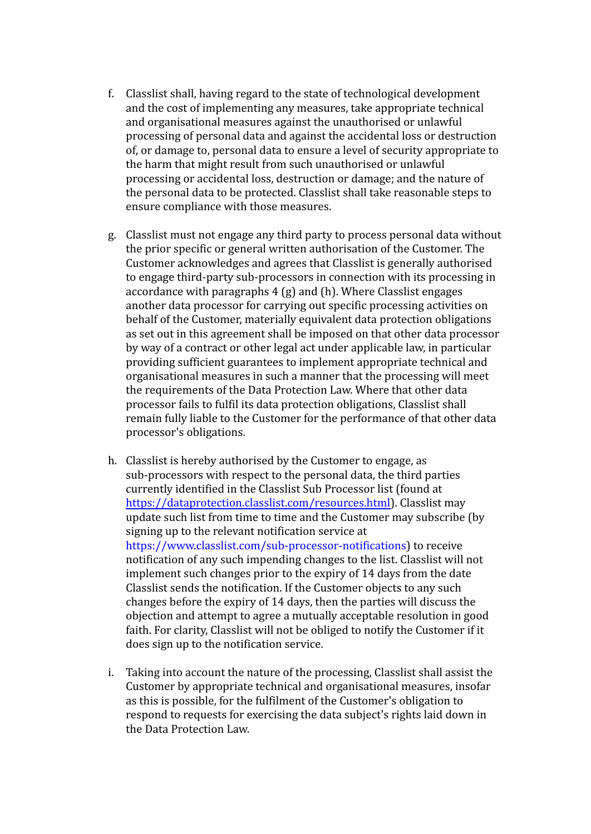- f. Classlist shall, having regard to the state of technological development and the cost of implementing any measures, take appropriate technical and organisational measures against the unauthorised or unlawful processing of personal data and against the accidental loss or destruction of, or damage to, personal data to ensure a level of security appropriate to the harm that might result from such unauthorised or unlawful processing or accidental loss, destruction or damage; and the nature of the personal data to be protected. Classlist shall take reasonable steps to ensure compliance with those measures.
- g. Classlist must not engage any third party to process personal data without the prior specific or general written authorisation of the Customer. The Customer acknowledges and agrees that Classlist is generally authorised to engage third-party sub-processors in connection with its processing in accordance with paragraphs 4 (g) and (h). Where Classlist engages another data processor for carrying out specific processing activities on behalf of the Customer, materially equivalent data protection obligations as set out in this agreement shall be imposed on that other data processor by way of a contract or other legal act under applicable law, in particular providing sufficient guarantees to implement appropriate technical and organisational measures in such a manner that the processing will meet the requirements of the Data Protection Law. Where that other data processor fails to fulfil its data protection obligations, Classlist shall remain fully liable to the Customer for the performance of that other data processor's obligations.
- h. Classlist is hereby authorised by the Customer to engage, as sub-processors with respect to the personal data, the third parties currently identified in the Classlist Sub Processor list (found at [https://dataprotection.classlist.com/resources.html\)](https://dataprotection.classlist.com/resources.html). Classlist may update such list from time to time and the Customer may subscribe (by signing up to the relevant notification service at https://www.classlist.com/sub-processor-notifications) to receive notification of any such impending changes to the list. Classlist will not implement such changes prior to the expiry of 14 days from the date Classlist sends the notification. If the Customer objects to any such changes before the expiry of 14 days, then the parties will discuss the objection and attempt to agree a mutually acceptable resolution in good faith. For clarity, Classlist will not be obliged to notify the Customer if it does sign up to the notification service.
- i. Taking into account the nature of the processing, Classlist shall assist the Customer by appropriate technical and organisational measures, insofar as this is possible, for the fulfilment of the Customer's obligation to respond to requests for exercising the data subject's rights laid down in the Data Protection Law.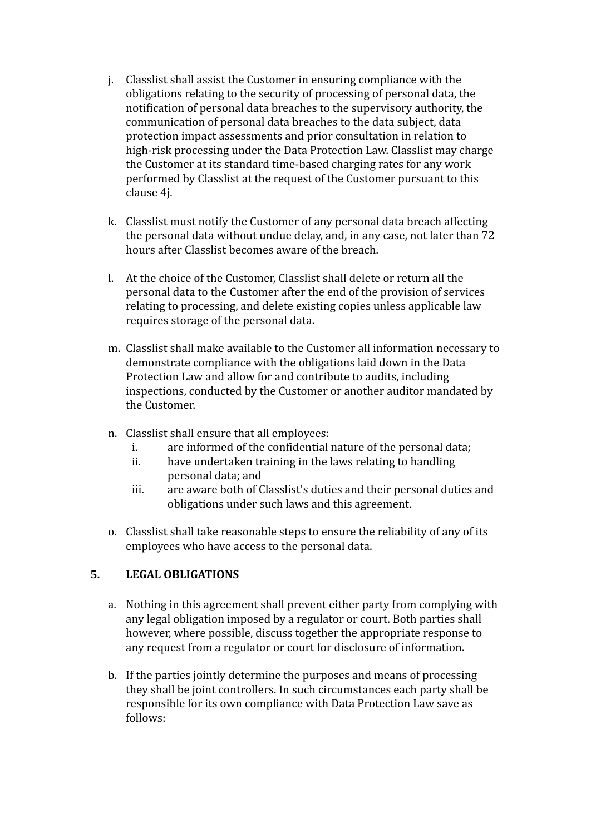- j. Classlist shall assist the Customer in ensuring compliance with the obligations relating to the security of processing of personal data, the notification of personal data breaches to the supervisory authority, the communication of personal data breaches to the data subject, data protection impact assessments and prior consultation in relation to high-risk processing under the Data Protection Law. Classlist may charge the Customer at its standard time-based charging rates for any work performed by Classlist at the request of the Customer pursuant to this clause 4j.
- k. Classlist must notify the Customer of any personal data breach affecting the personal data without undue delay, and, in any case, not later than 72 hours after Classlist becomes aware of the breach.
- l. At the choice of the Customer, Classlist shall delete or return all the personal data to the Customer after the end of the provision of services relating to processing, and delete existing copies unless applicable law requires storage of the personal data.
- m. Classlist shall make available to the Customer all information necessary to demonstrate compliance with the obligations laid down in the Data Protection Law and allow for and contribute to audits, including inspections, conducted by the Customer or another auditor mandated by the Customer.
- n. Classlist shall ensure that all employees:
	- i. are informed of the confidential nature of the personal data;
	- ii. have undertaken training in the laws relating to handling personal data; and
	- iii. are aware both of Classlist's duties and their personal duties and obligations under such laws and this agreement.
- o. Classlist shall take reasonable steps to ensure the reliability of any of its employees who have access to the personal data.

# **5. LEGAL OBLIGATIONS**

- a. Nothing in this agreement shall prevent either party from complying with any legal obligation imposed by a regulator or court. Both parties shall however, where possible, discuss together the appropriate response to any request from a regulator or court for disclosure of information.
- b. If the parties jointly determine the purposes and means of processing they shall be joint controllers. In such circumstances each party shall be responsible for its own compliance with Data Protection Law save as follows: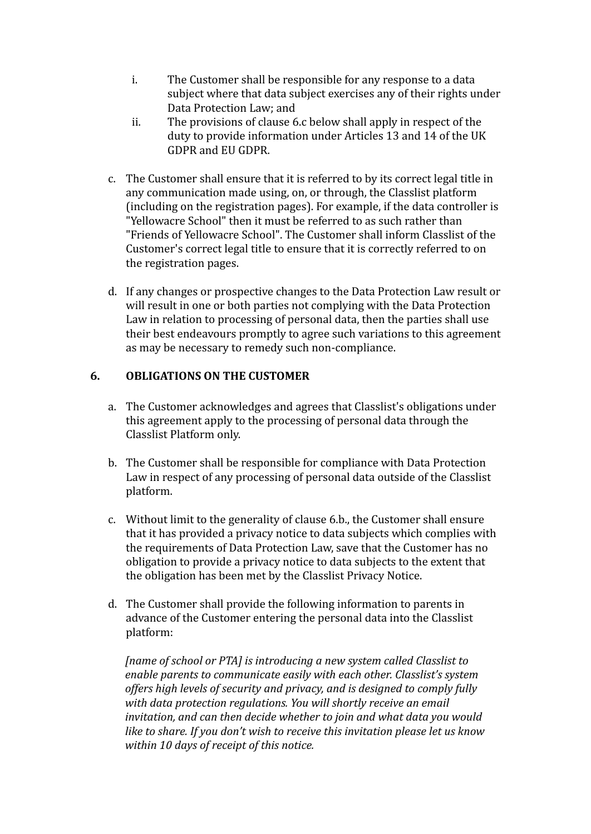- i. The Customer shall be responsible for any response to a data subject where that data subject exercises any of their rights under Data Protection Law; and
- ii. The provisions of clause 6.c below shall apply in respect of the duty to provide information under Articles 13 and 14 of the UK GDPR and EU GDPR.
- c. The Customer shall ensure that it is referred to by its correct legal title in any communication made using, on, or through, the Classlist platform (including on the registration pages). For example, if the data controller is "Yellowacre School" then it must be referred to as such rather than "Friends of Yellowacre School". The Customer shall inform Classlist of the Customer's correct legal title to ensure that it is correctly referred to on the registration pages.
- d. If any changes or prospective changes to the Data Protection Law result or will result in one or both parties not complying with the Data Protection Law in relation to processing of personal data, then the parties shall use their best endeavours promptly to agree such variations to this agreement as may be necessary to remedy such non-compliance.

#### **6. OBLIGATIONS ON THE CUSTOMER**

- a. The Customer acknowledges and agrees that Classlist's obligations under this agreement apply to the processing of personal data through the Classlist Platform only.
- b. The Customer shall be responsible for compliance with Data Protection Law in respect of any processing of personal data outside of the Classlist platform.
- c. Without limit to the generality of clause 6.b., the Customer shall ensure that it has provided a privacy notice to data subjects which complies with the requirements of Data Protection Law, save that the Customer has no obligation to provide a privacy notice to data subjects to the extent that the obligation has been met by the Classlist Privacy Notice.
- d. The Customer shall provide the following information to parents in advance of the Customer entering the personal data into the Classlist platform:

*[name of school or PTA] is introducing a new system called Classlist to enable parents to communicate easily with each other. Classlist's system offers high levels of security and privacy, and is designed to comply fully with data protection regulations. You will shortly receive an email invitation, and can then decide whether to join and what data you would like to share. If you don't wish to receive this invitation please let us know within 10 days of receipt of this notice.*